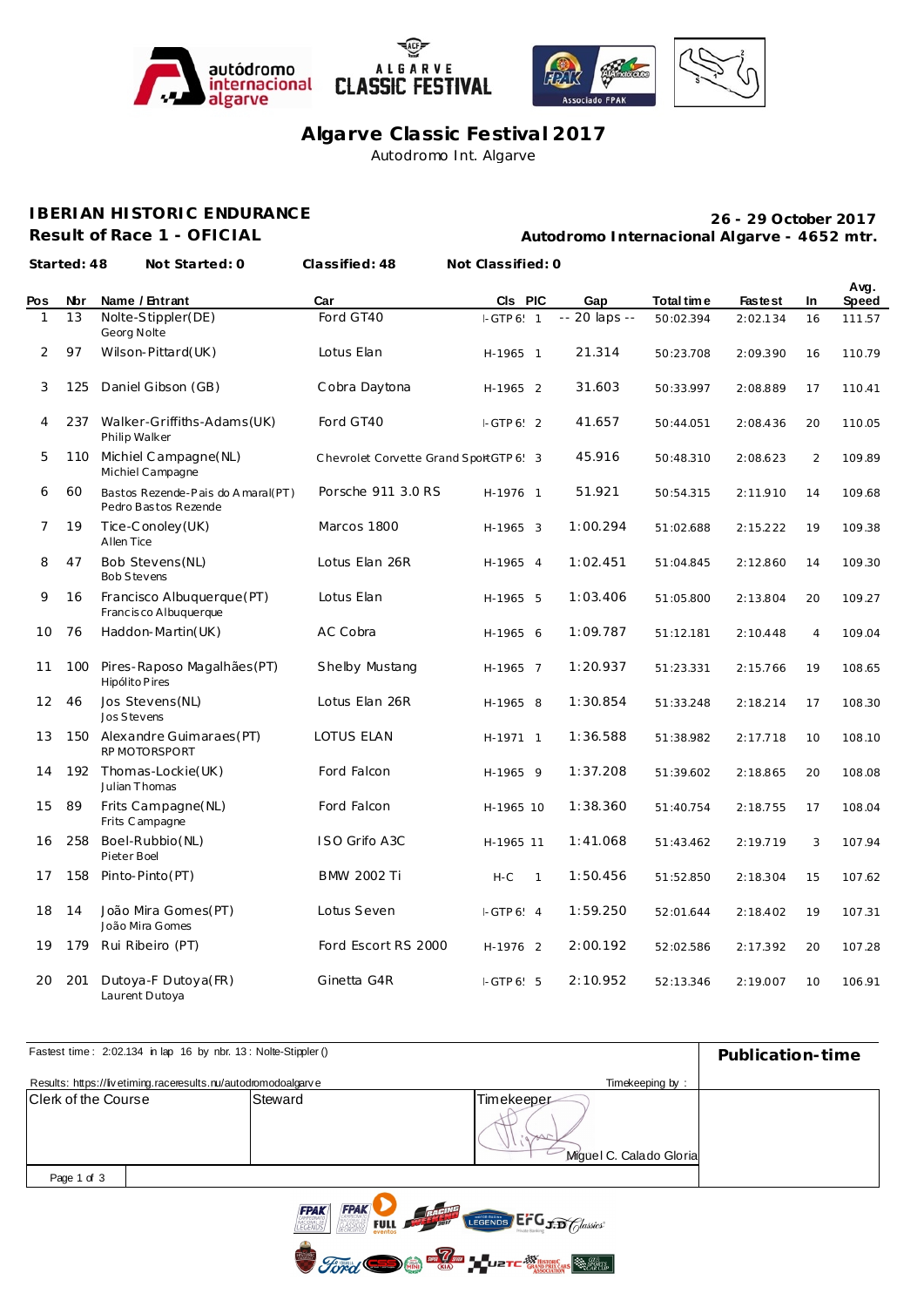







**Algarve Classic Festival 2017** Autodromo Int. Algarve

## **IBERIAN HISTORIC ENDURANCE**

**Result of Race 1 - OFICIAL**

**Autodromo Internacional Algarve - 4652 mtr. 26 - 29 October 2017**

**Started: 48 Not Started: 0 Classified: 48 Not Classified: 0**

| Pos | Nbr | Name / Entrant                                            | Car                                   | CIs PIC    |              | Gap           | Total time | <b>Fastest</b> | In             | Avg.<br>Speed |
|-----|-----|-----------------------------------------------------------|---------------------------------------|------------|--------------|---------------|------------|----------------|----------------|---------------|
|     | 13  | Nolte-Stippler(DE)<br>Georg Nolte                         | Ford GT40                             | $-GTP 6$ 1 |              | -- 20 laps -- | 50:02.394  | 2:02.134       | 16             | 111.57        |
| 2   | 97  | Wilson-Pittard(UK)                                        | Lotus Elan                            | H-1965 1   |              | 21.314        | 50:23.708  | 2:09.390       | 16             | 110.79        |
| 3   | 125 | Daniel Gibson (GB)                                        | Cobra Daytona                         | H-1965 2   |              | 31.603        | 50:33.997  | 2:08.889       | 17             | 110.41        |
| 4   |     | 237 Walker-Griffiths-Adams(UK)<br>Philip Walker           | Ford GT40                             | $-GTP 6$ 2 |              | 41.657        | 50:44.051  | 2:08.436       | 20             | 110.05        |
| 5   | 110 | Michiel Campagne(NL)<br>Michiel Campagne                  | Chevrolet Corvette Grand SportGTP 6 3 |            |              | 45.916        | 50:48.310  | 2:08.623       | 2              | 109.89        |
| 6   | 60  | Bastos Rezende-Pais do Amaral(PT)<br>Pedro Bastos Rezende | Porsche 911 3.0 RS                    | H-1976 1   |              | 51.921        | 50:54.315  | 2:11.910       | 14             | 109.68        |
| 7   | 19  | Tice-Conoley (UK)<br>Allen Tice                           | Marcos 1800                           | H-1965 3   |              | 1:00.294      | 51:02.688  | 2:15.222       | 19             | 109.38        |
| 8   | 47  | Bob Stevens (NL)<br><b>Bob Stevens</b>                    | Lotus Elan 26R                        | H-1965 4   |              | 1:02.451      | 51:04.845  | 2:12.860       | 14             | 109.30        |
| 9   | 16  | Francisco Albuquerque (PT)<br>Francisco Albuquerque       | Lotus Elan                            | H-1965 5   |              | 1:03.406      | 51:05.800  | 2:13.804       | 20             | 109.27        |
| 10  | 76  | Haddon-Martin(UK)                                         | AC Cobra                              | H-1965 6   |              | 1:09.787      | 51:12.181  | 2:10.448       | $\overline{4}$ | 109.04        |
| 11  | 100 | Pires-Raposo Magalhães (PT)<br>Hipólito Pires             | Shelby Mustang                        | H-1965 7   |              | 1:20.937      | 51:23.331  | 2:15.766       | 19             | 108.65        |
| 12  | 46  | Jos Stevens (NL)<br>Jos Stevens                           | Lotus Elan 26R                        | H-1965 8   |              | 1:30.854      | 51:33.248  | 2:18.214       | 17             | 108.30        |
| 13  |     | 150 Alexandre Guimaraes (PT)<br>RP MOTORSPORT             | LOTUS ELAN                            | H-1971 1   |              | 1:36.588      | 51:38.982  | 2:17.718       | 10             | 108.10        |
| 14  | 192 | Thomas-Lockie(UK)<br><b>Julian Thomas</b>                 | Ford Falcon                           | H-1965 9   |              | 1:37.208      | 51:39.602  | 2:18.865       | 20             | 108.08        |
| 15  | 89  | Frits Campagne(NL)<br>Frits Campagne                      | Ford Falcon                           | H-1965 10  |              | 1:38.360      | 51:40.754  | 2:18.755       | 17             | 108.04        |
| 16  | 258 | Boel-Rubbio(NL)<br>Pieter Boel                            | ISO Grifo A3C                         | H-1965 11  |              | 1:41.068      | 51:43.462  | 2:19.719       | 3              | 107.94        |
| 17  | 158 | Pinto-Pinto(PT)                                           | <b>BMW 2002 Ti</b>                    | $H-C$      | $\mathbf{1}$ | 1:50.456      | 51:52.850  | 2:18.304       | 15             | 107.62        |
| 18  | 14  | João Mira Gomes(PT)<br>João Mira Gomes                    | Lotus Seven                           | $-GTP 6.4$ |              | 1:59.250      | 52:01.644  | 2:18.402       | 19             | 107.31        |
| 19  | 179 | Rui Ribeiro (PT)                                          | Ford Escort RS 2000                   | H-1976 2   |              | 2:00.192      | 52:02.586  | 2:17.392       | 20             | 107.28        |
| 20  | 201 | Dutoya-F Dutoya(FR)<br>Laurent Dutoya                     | Ginetta G4R                           | $-GTP 6.5$ |              | 2:10.952      | 52:13.346  | 2:19.007       | 10             | 106.91        |

| Fastest time: 2:02.134 in lap 16 by nbr. 13: Nolte-Stippler () | Publication-time |                                       |  |
|----------------------------------------------------------------|------------------|---------------------------------------|--|
| Results: https://livetiming.raceresults.nu/autodromodoalgarve  |                  |                                       |  |
| Clerk of the Course                                            | Steward          | Timekeeper<br>Miquel C. Calado Gloria |  |
| Page 1 of 3                                                    |                  |                                       |  |
|                                                                |                  |                                       |  |

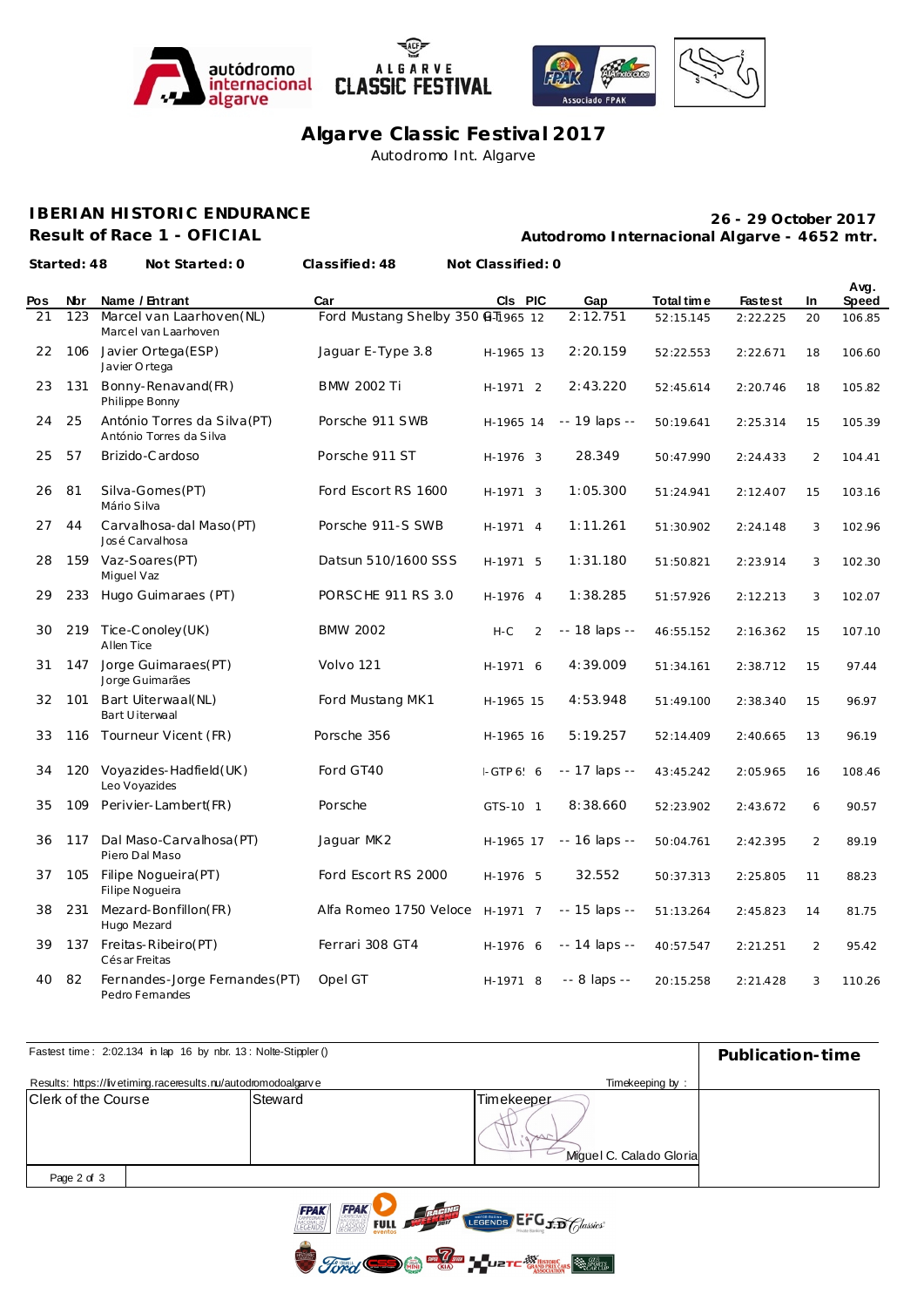







**Algarve Classic Festival 2017** Autodromo Int. Algarve

## **IBERIAN HISTORIC ENDURANCE**

**Result of Race 1 - OFICIAL**

**Autodromo Internacional Algarve - 4652 mtr. 26 - 29 October 2017**

|     | Started: 48 | Not Started: 0                                          | Classified: 48                     | Not Classified: 0 |               |            |                |     |               |
|-----|-------------|---------------------------------------------------------|------------------------------------|-------------------|---------------|------------|----------------|-----|---------------|
| Pos | Nbr         | Name / Entrant                                          | Car                                | CIs PIC           | Gap           | Total time | <b>Fastest</b> | In. | Avg.<br>Speed |
| 21  | 123         | Marcel van Laarhoven (NL)<br>Marcel van Laarhoven       | Ford Mustang Shelby 350 @ T1965 12 |                   | 2:12.751      | 52:15.145  | 2:22.225       | 20  | 106.85        |
| 22  |             | 106 Javier Ortega (ESP)<br>Javier Ortega                | Jaquar E-Type 3.8                  | H-1965 13         | 2:20.159      | 52:22.553  | 2:22.671       | 18  | 106.60        |
| 23  | 131         | Bonny-Renavand(FR)<br>Philippe Bonny                    | <b>BMW 2002 Ti</b>                 | H-1971 2          | 2:43.220      | 52:45.614  | 2:20.746       | 18  | 105.82        |
| 24  | 25          | António Torres da Silva (PT)<br>António Torres da Silva | Porsche 911 SWB                    | H-1965 14         | -- 19 laps -- | 50:19.641  | 2:25.314       | 15  | 105.39        |
| 25  | 57          | Brizido-Cardoso                                         | Porsche 911 ST                     | H-1976 3          | 28.349        | 50:47.990  | 2:24.433       | 2   | 104.41        |
| 26  | 81          | Silva-Gomes (PT)<br>Mário Silva                         | Ford Escort RS 1600                | H-1971 3          | 1:05.300      | 51:24.941  | 2:12.407       | 15  | 103.16        |
| 27  | 44          | Carvalhosa-dal Maso(PT)<br>José Carvalhosa              | Porsche 911-S SWB                  | H-1971 4          | 1:11.261      | 51:30.902  | 2:24.148       | 3   | 102.96        |
| 28  |             | 159 Vaz-Soares (PT)<br>Miguel Vaz                       | Datsun 510/1600 SSS                | H-1971 5          | 1:31.180      | 51:50.821  | 2:23.914       | 3   | 102.30        |
| 29  | 233         | Hugo Guimaraes (PT)                                     | PORSCHE 911 RS 3.0                 | H-1976 4          | 1:38.285      | 51:57.926  | 2:12.213       | 3   | 102.07        |
| 30  | 219         | Tice-Conoley (UK)<br>Allen Tice                         | <b>BMW 2002</b>                    | $H-C$<br>2        | -- 18 laps -- | 46:55.152  | 2:16.362       | 15  | 107.10        |
| 31  | 147         | Jorge Guimaraes(PT)<br>Jorge Guimarães                  | Volvo 121                          | H-1971 6          | 4:39.009      | 51:34.161  | 2:38.712       | 15  | 97.44         |
| 32  | 101         | Bart Uiterwaal(NL)<br>Bart Uiterwaal                    | Ford Mustang MK1                   | H-1965 15         | 4:53.948      | 51:49.100  | 2:38.340       | 15  | 96.97         |
| 33  |             | 116 Tourneur Vicent (FR)                                | Porsche 356                        | H-1965 16         | 5:19.257      | 52:14.409  | 2:40.665       | 13  | 96.19         |
| 34  | 120         | Voyazides-Hadfield (UK)<br>Leo Voyazides                | Ford GT40                          | $-GTP 666$        | -- 17 laps -- | 43:45.242  | 2:05.965       | 16  | 108.46        |
| 35  | 109         | Perivier-Lambert(FR)                                    | Porsche                            | GTS-10 1          | 8:38.660      | 52:23.902  | 2:43.672       | 6   | 90.57         |
| 36  | 117         | Dal Maso-Carvalhosa (PT)<br>Piero Dal Maso              | Jaguar MK2                         | H-1965 17         | -- 16 laps -- | 50:04.761  | 2:42.395       | 2   | 89.19         |
| 37  | 105         | Filipe Nogueira(PT)<br>Filipe Nogueira                  | Ford Escort RS 2000                | H-1976 5          | 32.552        | 50:37.313  | 2:25.805       | 11  | 88.23         |
| 38  | 231         | Mezard-Bonfillon(FR)<br>Hugo Mezard                     | Alfa Romeo 1750 Veloce             | H-1971 7          | -- 15 laps -- | 51:13.264  | 2:45.823       | 14  | 81.75         |
| 39  | 137         | Freitas-Ribeiro(PT)<br>Cés ar Freitas                   | Ferrari 308 GT4                    | H-1976 6          | -- 14 laps -- | 40:57.547  | 2:21.251       | 2   | 95.42         |
| 40  | 82          | Fernandes-Jorge Fernandes (PT)<br>Pedro Fernandes       | Opel GT                            | H-1971 8          | -- 8 laps --  | 20:15.258  | 2:21.428       | 3   | 110.26        |

| Fastest time: 2:02.134 in lap 16 by nbr. 13: Nolte-Stippler () | Publication-time                                     |                                       |  |
|----------------------------------------------------------------|------------------------------------------------------|---------------------------------------|--|
| Results: https://livetiming.raceresults.nu/autodromodoalgarve  |                                                      |                                       |  |
| Clerk of the Course                                            | Steward                                              | Timekeeper<br>Miquel C. Calado Gloria |  |
| Page 2 of 3                                                    |                                                      |                                       |  |
|                                                                | $\overline{\phantom{a}}$<br>$\overline{\phantom{a}}$ |                                       |  |